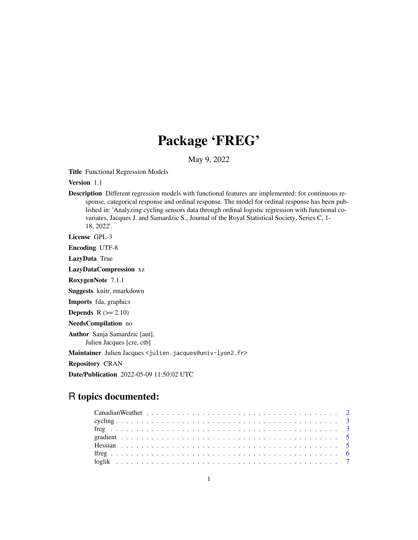## Package 'FREG'

May 9, 2022

Title Functional Regression Models

Version 1.1

Description Different regression models with functional features are implemented: for continuous response, categorical response and ordinal response. The model for ordinal response has been published in: 'Analyzing cycling sensors data through ordinal logistic regression with functional covariates, Jacques J. and Samardzic S., Journal of the Royal Statistical Society, Series C, 1- 18, 2022'.

License GPL-3

Encoding UTF-8

LazyData True

LazyDataCompression xz

RoxygenNote 7.1.1

Suggests knitr, rmarkdown

Imports fda, graphics

**Depends**  $R$  ( $>= 2.10$ )

NeedsCompilation no

Author Sanja Samardzic [aut], Julien Jacques [cre, ctb]

Maintainer Julien Jacques <julien.jacques@univ-lyon2.fr>

Repository CRAN

Date/Publication 2022-05-09 11:50:02 UTC

### R topics documented: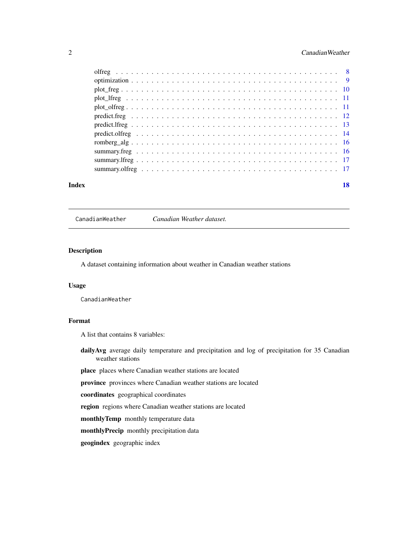#### <span id="page-1-0"></span>2 Canadian Weather 2 Canadian Weather

| Index | 18 |
|-------|----|
|       |    |
|       |    |
|       |    |
|       |    |
|       |    |
|       |    |
|       |    |
|       |    |
|       |    |
|       |    |
|       |    |
|       |    |

CanadianWeather *Canadian Weather dataset.*

#### Description

A dataset containing information about weather in Canadian weather stations

#### Usage

CanadianWeather

#### Format

A list that contains 8 variables:

daily Avg average daily temperature and precipitation and log of precipitation for 35 Canadian weather stations

place places where Canadian weather stations are located

province provinces where Canadian weather stations are located

coordinates geographical coordinates

region regions where Canadian weather stations are located

monthlyTemp monthly temperature data

monthlyPrecip monthly precipitation data

geogindex geographic index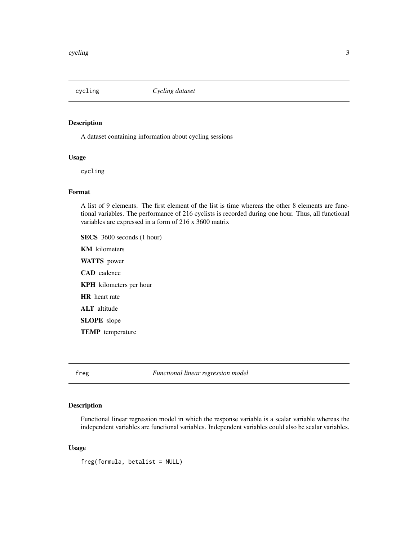<span id="page-2-0"></span>

A dataset containing information about cycling sessions

#### Usage

cycling

#### Format

A list of 9 elements. The first element of the list is time whereas the other 8 elements are functional variables. The performance of 216 cyclists is recorded during one hour. Thus, all functional variables are expressed in a form of 216 x 3600 matrix

SECS 3600 seconds (1 hour) KM kilometers WATTS power CAD cadence KPH kilometers per hour HR heart rate ALT altitude SLOPE slope TEMP temperature

freg *Functional linear regression model*

#### Description

Functional linear regression model in which the response variable is a scalar variable whereas the independent variables are functional variables. Independent variables could also be scalar variables.

#### Usage

freg(formula, betalist = NULL)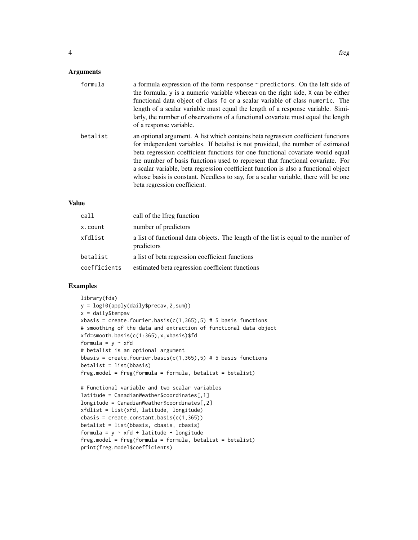#### Arguments

| formula  | a formula expression of the form response ~ predictors. On the left side of<br>the formula, y is a numeric variable whereas on the right side, X can be either<br>functional data object of class fd or a scalar variable of class numeric. The<br>length of a scalar variable must equal the length of a response variable. Simi-<br>larly, the number of observations of a functional covariate must equal the length<br>of a response variable.                                                                                                    |
|----------|-------------------------------------------------------------------------------------------------------------------------------------------------------------------------------------------------------------------------------------------------------------------------------------------------------------------------------------------------------------------------------------------------------------------------------------------------------------------------------------------------------------------------------------------------------|
| betalist | an optional argument. A list which contains beta regression coefficient functions<br>for independent variables. If betalist is not provided, the number of estimated<br>beta regression coefficient functions for one functional covariate would equal<br>the number of basis functions used to represent that functional covariate. For<br>a scalar variable, beta regression coefficient function is also a functional object<br>whose basis is constant. Needless to say, for a scalar variable, there will be one<br>beta regression coefficient. |

#### Value

| call         | call of the lifeg function                                                                        |
|--------------|---------------------------------------------------------------------------------------------------|
| x.count      | number of predictors                                                                              |
| xfdlist      | a list of functional data objects. The length of the list is equal to the number of<br>predictors |
| betalist     | a list of beta regression coefficient functions                                                   |
| coefficients | estimated beta regression coefficient functions                                                   |

#### Examples

```
library(fda)
y = log10(apply(daily$precav,2,sum))
x = daily$tempav
xbasis = create.fourier.basis(c(1,365),5) # 5 basis functions
# smoothing of the data and extraction of functional data object
xfd=smooth.basis(c(1:365),x,xbasis)$fd
formula = y \sim xfd# betalist is an optional argument
bbasis = create.fourier.basis(c(1,365),5) # 5 basis functions
betalist = list(bbasis)
freg.model = freg(formula = formula, betalist = betalist)
# Functional variable and two scalar variables
latitude = CanadianWeather$coordinates[,1]
longitude = CanadianWeather$coordinates[,2]
xfdlist = list(xfd, latitude, longitude)
cbasis = create.config(hasis(c(1,365)))betalist = list(bbasis, cbasis, cbasis)
formula = y \sim xfd + latitude + longitude
freg.model = freg(formula = formula, betalist = betalist)
```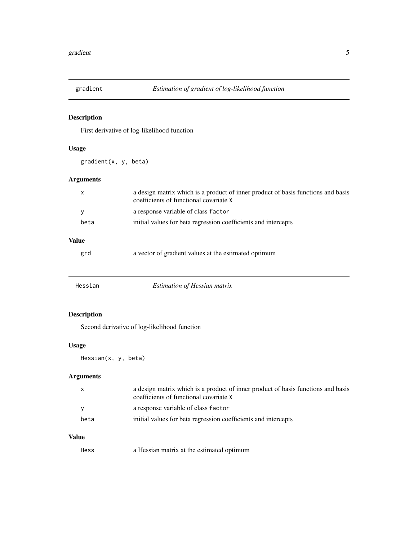<span id="page-4-0"></span>

First derivative of log-likelihood function

#### Usage

gradient(x, y, beta)

#### Arguments

| X            | a design matrix which is a product of inner product of basis functions and basis<br>coefficients of functional covariate X |
|--------------|----------------------------------------------------------------------------------------------------------------------------|
| v            | a response variable of class factor                                                                                        |
| beta         | initial values for beta regression coefficients and intercepts                                                             |
| <b>Value</b> |                                                                                                                            |
| grd          | a vector of gradient values at the estimated optimum                                                                       |

| Hessian | Estimation of Hessian matrix |  |  |
|---------|------------------------------|--|--|
|---------|------------------------------|--|--|

#### Description

Second derivative of log-likelihood function

#### Usage

Hessian(x, y, beta)

#### Arguments

| $\mathsf{x}$ | a design matrix which is a product of inner product of basis functions and basis<br>coefficients of functional covariate X |
|--------------|----------------------------------------------------------------------------------------------------------------------------|
| <b>V</b>     | a response variable of class factor                                                                                        |
| beta         | initial values for beta regression coefficients and intercepts                                                             |

#### Value

Hess a Hessian matrix at the estimated optimum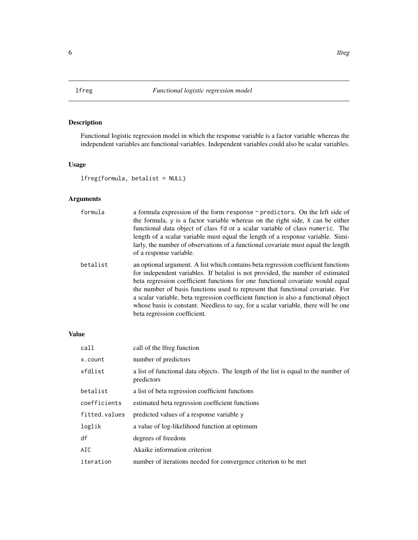<span id="page-5-0"></span>

Functional logistic regression model in which the response variable is a factor variable whereas the independent variables are functional variables. Independent variables could also be scalar variables.

#### Usage

lfreg(formula, betalist = NULL)

#### Arguments

| formula  | a formula expression of the form response $\sim$ predictors. On the left side of<br>the formula, y is a factor variable whereas on the right side, X can be either<br>functional data object of class fd or a scalar variable of class numeric. The<br>length of a scalar variable must equal the length of a response variable. Simi-<br>larly, the number of observations of a functional covariate must equal the length<br>of a response variable.                                                                                                |
|----------|-------------------------------------------------------------------------------------------------------------------------------------------------------------------------------------------------------------------------------------------------------------------------------------------------------------------------------------------------------------------------------------------------------------------------------------------------------------------------------------------------------------------------------------------------------|
| betalist | an optional argument. A list which contains beta regression coefficient functions<br>for independent variables. If betalist is not provided, the number of estimated<br>beta regression coefficient functions for one functional covariate would equal<br>the number of basis functions used to represent that functional covariate. For<br>a scalar variable, beta regression coefficient function is also a functional object<br>whose basis is constant. Needless to say, for a scalar variable, there will be one<br>beta regression coefficient. |

#### Value

| call          | call of the lfreg function                                                                        |
|---------------|---------------------------------------------------------------------------------------------------|
| x.count       | number of predictors                                                                              |
| xfdlist       | a list of functional data objects. The length of the list is equal to the number of<br>predictors |
| betalist      | a list of beta regression coefficient functions                                                   |
| coefficients  | estimated beta regression coefficient functions                                                   |
| fitted.values | predicted values of a response variable y                                                         |
| loglik        | a value of log-likelihood function at optimum                                                     |
| df            | degrees of freedom                                                                                |
| AIC           | Akaike information criterion                                                                      |
| iteration     | number of iterations needed for convergence criterion to be met                                   |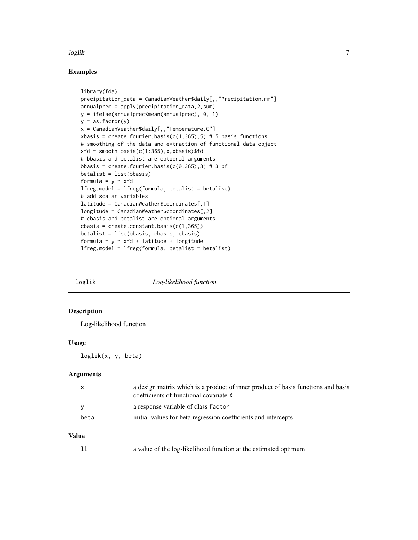#### <span id="page-6-0"></span>loglik 7

#### Examples

```
library(fda)
precipitation_data = CanadianWeather$daily[,,"Precipitation.mm"]
annualprec = apply(precipitation_data,2,sum)
y = ifelse(annualprec<mean(annualprec), 0, 1)
y = as.factor(y)x = CanadianWeather$daily[,,"Temperature.C"]
xbasis = create.fourier.basis(c(1,365),5) # 5 basis functions
# smoothing of the data and extraction of functional data object
xfd = smooth.basis(c(1:365), x, x basis)# bbasis and betalist are optional arguments
bbasis = create.fourier.basis(c(0, 365), 3) # 3 bf
betalist = list(bbasis)
formula = y \sim xfdlfreg.model = lfreg(formula, betalist = betalist)
# add scalar variables
latitude = CanadianWeather$coordinates[,1]
longitude = CanadianWeather$coordinates[,2]
# cbasis and betalist are optional arguments
cbasis = create.config(1,365))betalist = list(bbasis, cbasis, cbasis)
formula = y \sim xfd + latitude + longitude
lfreg.model = lfreg(formula, betalist = betalist)
```
loglik *Log-likelihood function*

#### Description

Log-likelihood function

#### Usage

loglik(x, y, beta)

#### Arguments

| $\mathsf{x}$ | a design matrix which is a product of inner product of basis functions and basis<br>coefficients of functional covariate X |
|--------------|----------------------------------------------------------------------------------------------------------------------------|
| <b>V</b>     | a response variable of class factor                                                                                        |
| beta         | initial values for beta regression coefficients and intercepts                                                             |

#### Value

ll a value of the log-likelihood function at the estimated optimum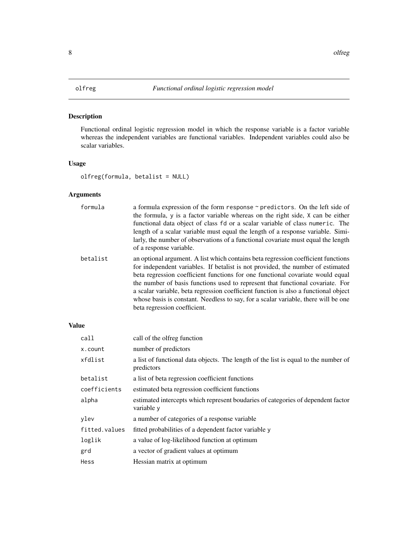<span id="page-7-0"></span>

Functional ordinal logistic regression model in which the response variable is a factor variable whereas the independent variables are functional variables. Independent variables could also be scalar variables.

#### Usage

olfreg(formula, betalist = NULL)

#### Arguments

| formula  | a formula expression of the form response ~ predictors. On the left side of        |
|----------|------------------------------------------------------------------------------------|
|          | the formula, $y$ is a factor variable whereas on the right side, $x$ can be either |
|          | functional data object of class fd or a scalar variable of class numeric. The      |
|          | length of a scalar variable must equal the length of a response variable. Simi-    |
|          | larly, the number of observations of a functional covariate must equal the length  |
|          | of a response variable.                                                            |
| betalist | an optional argument. A list which contains beta regression coefficient functions  |
|          | for independent variables. If betalist is not provided, the number of estimated    |
|          | beta regression coefficient functions for one functional covariate would equal     |
|          |                                                                                    |

the number of basis functions used to represent that functional covariate. For a scalar variable, beta regression coefficient function is also a functional object whose basis is constant. Needless to say, for a scalar variable, there will be one beta regression coefficient.

#### Value

| call          | call of the olfreg function                                                                       |
|---------------|---------------------------------------------------------------------------------------------------|
| x.count       | number of predictors                                                                              |
| xfdlist       | a list of functional data objects. The length of the list is equal to the number of<br>predictors |
| betalist      | a list of beta regression coefficient functions                                                   |
| coefficients  | estimated beta regression coefficient functions                                                   |
| alpha         | estimated intercepts which represent boudaries of categories of dependent factor<br>variable y    |
| ylev          | a number of categories of a response variable                                                     |
| fitted.values | fitted probabilities of a dependent factor variable y                                             |
| loglik        | a value of log-likelihood function at optimum                                                     |
| grd           | a vector of gradient values at optimum                                                            |
| Hess          | Hessian matrix at optimum                                                                         |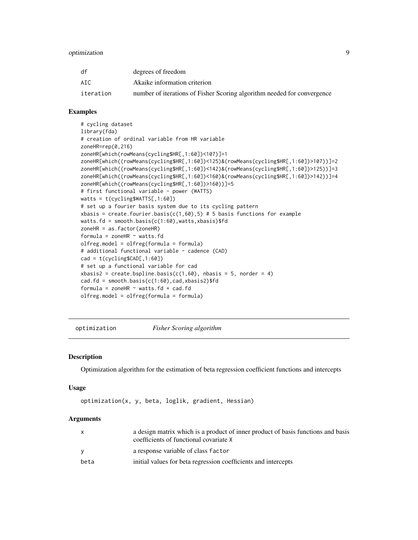#### <span id="page-8-0"></span>optimization 9

| df        | degrees of freedom                                                      |
|-----------|-------------------------------------------------------------------------|
| ATC.      | Akaike information criterion                                            |
| iteration | number of iterations of Fisher Scoring algorithm needed for convergence |

#### Examples

```
# cycling dataset
library(fda)
# creation of ordinal variable from HR variable
zoneHR=rep(0,216)
zoneHR[which(rowMeans(cycling$HR[,1:60])<107)]=1
zoneHR[which((rowMeans(cycling$HR[,1:60])<125)&(rowMeans(cycling$HR[,1:60])>107))]=2
zoneHR[which((rowMeans(cycling$HR[,1:60])<142)&(rowMeans(cycling$HR[,1:60])>125))]=3
zoneHR[which((rowMeans(cycling$HR[,1:60])<160)&(rowMeans(cycling$HR[,1:60])>142))]=4
zoneHR[which((rowMeans(cycling$HR[,1:60])>160))]=5
# first functional variable - power (WATTS)
watts = t(cycling$WATTS[,1:60])
# set up a fourier basis system due to its cycling pattern
xbasis = create.fourier.basis(c(1,60),5) # 5 basis functions for example
watts.fd = smooth.basis(c(1:60), watts, xbasis)$fd
zoneHR = as.factor(zoneHR)
formula = zoneHR \sim watts.fd
olfreg.model = olfreg(formula = formula)
# additional functional variable - cadence (CAD)
cad = t(cycling$CAD[, 1:60])# set up a functional variable for cad
xbasis2 = create.bsplit.e. basis(c(1,60), nbasis = 5, norder = 4)cad.fd = smooth.basis(c(1:60),cad,xbasis2)*fdformula = zoneHR \sim watts.fd + cad.fd
olfreg.model = olfreg(formula = formula)
```
optimization *Fisher Scoring algorithm*

#### Description

Optimization algorithm for the estimation of beta regression coefficient functions and intercepts

#### Usage

```
optimization(x, y, beta, loglik, gradient, Hessian)
```
#### Arguments

| X    | a design matrix which is a product of inner product of basis functions and basis<br>coefficients of functional covariate X |
|------|----------------------------------------------------------------------------------------------------------------------------|
|      | a response variable of class factor                                                                                        |
| beta | initial values for beta regression coefficients and intercepts                                                             |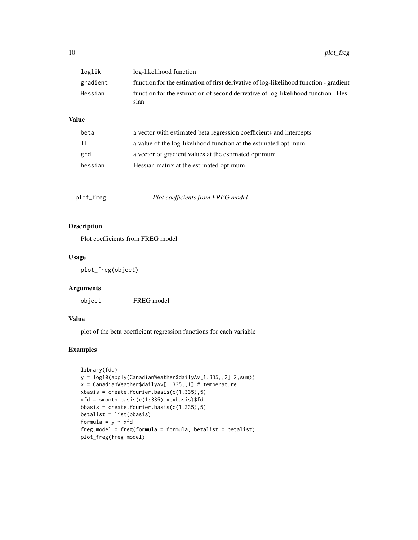<span id="page-9-0"></span>

|         | loglik       | log-likelihood function                                                                    |  |
|---------|--------------|--------------------------------------------------------------------------------------------|--|
|         | gradient     | function for the estimation of first derivative of log-likelihood function - gradient      |  |
| Hessian |              | function for the estimation of second derivative of log-likelihood function - Hes-<br>sian |  |
|         | <b>Value</b> |                                                                                            |  |
|         | beta         | a vector with estimated beta regression coefficients and intercepts                        |  |
|         | 11           | a value of the log-likelihood function at the estimated optimum                            |  |
|         | grd          | a vector of gradient values at the estimated optimum                                       |  |
|         | hessian      | Hessian matrix at the estimated optimum                                                    |  |
|         |              |                                                                                            |  |

plot\_freg *Plot coefficients from FREG model*

#### Description

Plot coefficients from FREG model

#### Usage

plot\_freg(object)

#### Arguments

object FREG model

#### Value

plot of the beta coefficient regression functions for each variable

#### Examples

```
library(fda)
y = log10(apply(CanadianWeather$dailyAv[1:335,,2],2,sum))
x = CanadianWeather$dailyAv[1:335,,1] # temperature
x basis = create.fourier.basis(c(1,335),5)xfd = smooth.basis(c(1:335),x,xbasis)$fd
bbasis = create.fourier.basis(c(1,335),5)betalist = list(bbasis)
formula = y \sim xfdfreg.model = freg(formula = formula, betalist = betalist)
plot_freg(freg.model)
```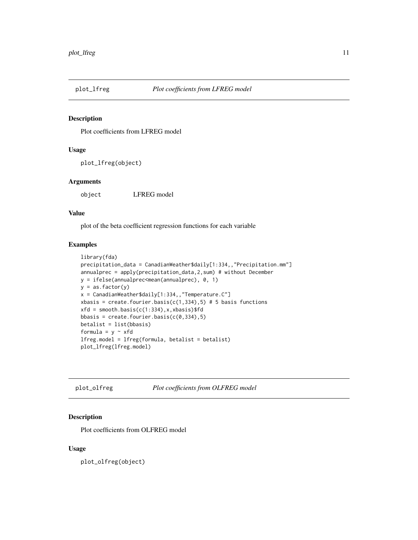<span id="page-10-0"></span>

Plot coefficients from LFREG model

#### Usage

plot\_lfreg(object)

#### Arguments

object LFREG model

#### Value

plot of the beta coefficient regression functions for each variable

#### Examples

```
library(fda)
precipitation_data = CanadianWeather$daily[1:334,,"Precipitation.mm"]
annualprec = apply(precipitation_data,2,sum) # without December
y = ifelse(annualprec<mean(annualprec), 0, 1)
y = as.factor(y)x = CanadianWeather$daily[1:334,,"Temperature.C"]
xbasis = create.fourier.basis(c(1,334),5) # 5 basis functions
xfd = smooth.basis(c(1:334),x,k basis)bbasis = create.fourier.basis(c(0,334),5)betalist = list(bbasis)
formula = y ~ xfd
lfreg.model = lfreg(formula, betalist = betalist)
plot_lfreg(lfreg.model)
```
plot\_olfreg *Plot coefficients from OLFREG model*

#### Description

Plot coefficients from OLFREG model

#### Usage

plot\_olfreg(object)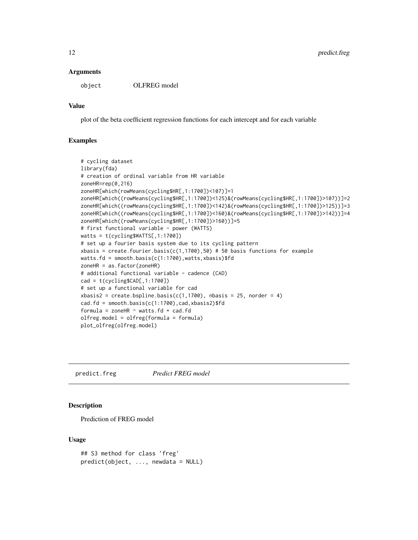#### <span id="page-11-0"></span>Arguments

object OLFREG model

#### Value

plot of the beta coefficient regression functions for each intercept and for each variable

#### Examples

```
# cycling dataset
library(fda)
# creation of ordinal variable from HR variable
zoneHR=rep(0,216)
zoneHR[which(rowMeans(cycling$HR[,1:1700])<107)]=1
zoneHR[which((rowMeans(cycling$HR[,1:1700])<125)&(rowMeans(cycling$HR[,1:1700])>107))]=2
zoneHR[which((rowMeans(cycling$HR[,1:1700])<142)&(rowMeans(cycling$HR[,1:1700])>125))]=3
zoneHR[which((rowMeans(cycling$HR[,1:1700])<160)&(rowMeans(cycling$HR[,1:1700])>142))]=4
zoneHR[which((rowMeans(cycling$HR[,1:1700])>160))]=5
# first functional variable - power (WATTS)
watts = t(cycling$WATTS[,1:1700])
# set up a fourier basis system due to its cycling pattern
xbasis = create.fourier.basis(c(1,1700),50) # 50 basis functions for example
watts.fd = smooth.basis(c(1:1700), watts, xbasis)$fd
zoneHR = as.factor(zoneHR)
# additional functional variable - cadence (CAD)
cad = t(cycling$CAD[, 1:1700])# set up a functional variable for cad
xbasis2 = create.bsplitne.basis(c(1,1700), nbasis = 25, norder = 4)cad.fd = smooth.basis(c(1:1700),cad,xbasis2)*fdformula = zoneHR \sim watts.fd + cad.fd
olfreg.model = olfreg(formula = formula)
plot_olfreg(olfreg.model)
```
predict.freg *Predict FREG model*

#### Description

Prediction of FREG model

#### Usage

```
## S3 method for class 'freg'
predict(object, ..., newdata = NULL)
```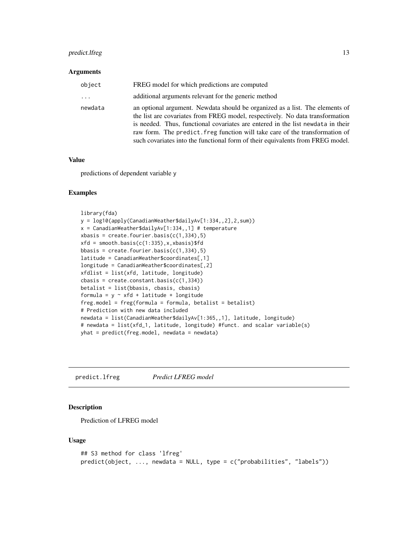#### <span id="page-12-0"></span>predict.lfreg 13

#### Arguments

| object   | FREG model for which predictions are computed                                                                                                                                                                                                                                                                                                                                                                      |
|----------|--------------------------------------------------------------------------------------------------------------------------------------------------------------------------------------------------------------------------------------------------------------------------------------------------------------------------------------------------------------------------------------------------------------------|
| $\cdots$ | additional arguments relevant for the generic method                                                                                                                                                                                                                                                                                                                                                               |
| newdata  | an optional argument. Newdata should be organized as a list. The elements of<br>the list are covariates from FREG model, respectively. No data transformation<br>is needed. Thus, functional covariates are entered in the list newdata in their<br>raw form. The predict, freg function will take care of the transformation of<br>such covariates into the functional form of their equivalents from FREG model. |

#### Value

predictions of dependent variable y

#### Examples

```
library(fda)
y = log10(apply(CanadianWeather$dailyAv[1:334,,2],2,sum))
x = CanadianWeather$dailyAv[1:334,,1] # temperature
x basis = create.fourier.basis(c(1,334),5)xfd = smooth.basis(c(1:335),x,xbasis)bbasis = create.fourier.basis(c(1,334),5)latitude = CanadianWeather$coordinates[,1]
longitude = CanadianWeather$coordinates[,2]
xfdlist = list(xfd, latitude, longitude)
\text{cbasis} = \text{create}.\text{constant}.\text{basis}(\text{c}(1,334))betalist = list(bbasis, cbasis, cbasis)
formula = y \sim xfd + latitude + longitude
freg.model = freg(formula = formula, betalist = betalist)
# Prediction with new data included
newdata = list(CanadianWeather$dailyAv[1:365,,1], latitude, longitude)
# newdata = list(xfd_1, latitude, longitude) #funct. and scalar variable(s)
yhat = predict(freg.model, newdata = newdata)
```
predict.lfreg *Predict LFREG model*

#### Description

Prediction of LFREG model

#### Usage

```
## S3 method for class 'lfreg'
predict(object, ..., newdata = NULL, type = c("probabilities", "labels"))
```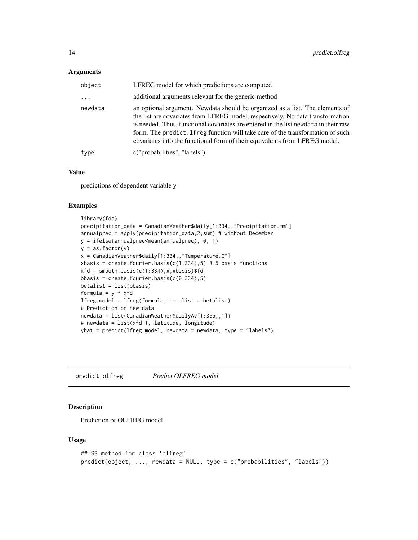#### <span id="page-13-0"></span>Arguments

| object   | LFREG model for which predictions are computed                                                                                                                                                                                                                                                                                                                                                                         |
|----------|------------------------------------------------------------------------------------------------------------------------------------------------------------------------------------------------------------------------------------------------------------------------------------------------------------------------------------------------------------------------------------------------------------------------|
| $\cdots$ | additional arguments relevant for the generic method                                                                                                                                                                                                                                                                                                                                                                   |
| newdata  | an optional argument. Newdata should be organized as a list. The elements of<br>the list are covariates from LFREG model, respectively. No data transformation<br>is needed. Thus, functional covariates are entered in the list newdata in their raw<br>form. The predict. If reg function will take care of the transformation of such<br>covariates into the functional form of their equivalents from LFREG model. |
| type     | c("probabilities", "labels")                                                                                                                                                                                                                                                                                                                                                                                           |

#### Value

predictions of dependent variable y

#### Examples

```
library(fda)
precipitation_data = CanadianWeather$daily[1:334,,"Precipitation.mm"]
annualprec = apply(precipitation_data,2,sum) # without December
y = ifelse(annualprec<mean(annualprec), 0, 1)
y = as.factor(y)x = CanadianWeather$daily[1:334,,"Temperature.C"]
xbasis = create.fourier.basis(c(1,334),5) # 5 basis functions
xfd = smooth.basis(c(1:334),x,xbasis)$fd
bbasis = create.fourier.basis(c(0,334), 5)
betalist = list(bbasis)
formula = y \sim xfdlfreg.model = lfreg(formula, betalist = betalist)
# Prediction on new data
newdata = list(CanadianWeather$dailyAv[1:365,,1])
# newdata = list(xfd_1, latitude, longitude)
yhat = predict(lfreg.model, newdata = newdata, type = "labels")
```
predict.olfreg *Predict OLFREG model*

#### Description

Prediction of OLFREG model

#### Usage

```
## S3 method for class 'olfreg'
predict(object, ..., newdata = NULL, type = c("probabilities", "labels"))
```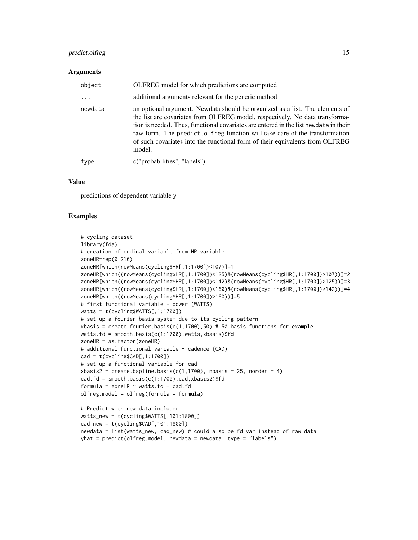#### predict.olfreg 15

#### Arguments

| object  | OLFREG model for which predictions are computed                                                                                                                                                                                                                                                                                                                                                                              |
|---------|------------------------------------------------------------------------------------------------------------------------------------------------------------------------------------------------------------------------------------------------------------------------------------------------------------------------------------------------------------------------------------------------------------------------------|
|         | additional arguments relevant for the generic method                                                                                                                                                                                                                                                                                                                                                                         |
| newdata | an optional argument. Newdata should be organized as a list. The elements of<br>the list are covariates from OLFREG model, respectively. No data transforma-<br>tion is needed. Thus, functional covariates are entered in the list newdata in their<br>raw form. The predict of reg function will take care of the transformation<br>of such covariates into the functional form of their equivalents from OLFREG<br>model. |
| type    | c("probabilities", "labels")                                                                                                                                                                                                                                                                                                                                                                                                 |

#### Value

predictions of dependent variable y

#### Examples

```
# cycling dataset
library(fda)
# creation of ordinal variable from HR variable
zoneHR=rep(0,216)
zoneHR[which(rowMeans(cycling$HR[,1:1700])<107)]=1
zoneHR[which((rowMeans(cycling$HR[,1:1700])<125)&(rowMeans(cycling$HR[,1:1700])>107))]=2
zoneHR[which((rowMeans(cycling$HR[,1:1700])<142)&(rowMeans(cycling$HR[,1:1700])>125))]=3
zoneHR[which((rowMeans(cycling$HR[,1:1700])<160)&(rowMeans(cycling$HR[,1:1700])>142))]=4
zoneHR[which((rowMeans(cycling$HR[,1:1700])>160))]=5
# first functional variable - power (WATTS)
watts = t(cycling$WATTS[,1:1700])
# set up a fourier basis system due to its cycling pattern
xbasis = create.fourier.basis(c(1,1700),50) # 50 basis functions for example
watts.fd = smooth.basis(c(1:1700),watts,xbasis)$fd
zoneHR = as.factor(zoneHR)
# additional functional variable - cadence (CAD)
cad = t(cycling$CAD[, 1:1700])# set up a functional variable for cad
xbasis2 = create.bsplit. basis(c(1,1700), nbasis = 25, norder = 4)cad.fd = smooth.basis(c(1:1700),cad,xbasis2)$fd
formula = zoneHR \sim watts.fd + cad.fdolfreg.model = olfreg(formula = formula)
# Predict with new data included
watts_new = t(cycling$WATTS[,101:1800])
cad_new = t(cycling$CAD[,101:1800])
newdata = list(watts_new, cad_new) # could also be fd var instead of raw data
yhat = predict(olfreg.model, newdata = newdata, type = "labels")
```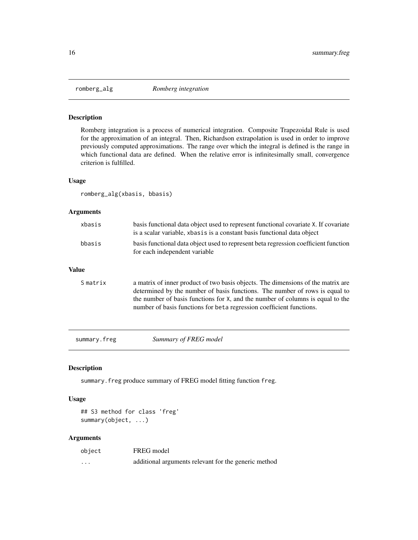<span id="page-15-0"></span>

Romberg integration is a process of numerical integration. Composite Trapezoidal Rule is used for the approximation of an integral. Then, Richardson extrapolation is used in order to improve previously computed approximations. The range over which the integral is defined is the range in which functional data are defined. When the relative error is infinitesimally small, convergence criterion is fulfilled.

#### Usage

romberg\_alg(xbasis, bbasis)

#### Arguments

| xbasis                                                                                                                         | basis functional data object used to represent functional covariate X. If covariate<br>is a scalar variable, xbasis is a constant basis functional data object                                                                                                                                                            |
|--------------------------------------------------------------------------------------------------------------------------------|---------------------------------------------------------------------------------------------------------------------------------------------------------------------------------------------------------------------------------------------------------------------------------------------------------------------------|
| basis functional data object used to represent beta regression coefficient function<br>bbasis<br>for each independent variable |                                                                                                                                                                                                                                                                                                                           |
| <b>Value</b>                                                                                                                   |                                                                                                                                                                                                                                                                                                                           |
| S matrix                                                                                                                       | a matrix of inner product of two basis objects. The dimensions of the matrix are<br>determined by the number of basis functions. The number of rows is equal to<br>the number of basis functions for X, and the number of columns is equal to the<br>number of basis functions for beta regression coefficient functions. |

summary.freg *Summary of FREG model*

#### Description

summary.freg produce summary of FREG model fitting function freg.

#### Usage

## S3 method for class 'freg' summary(object, ...)

#### Arguments

| object   | FREG model                                           |
|----------|------------------------------------------------------|
| $\cdots$ | additional arguments relevant for the generic method |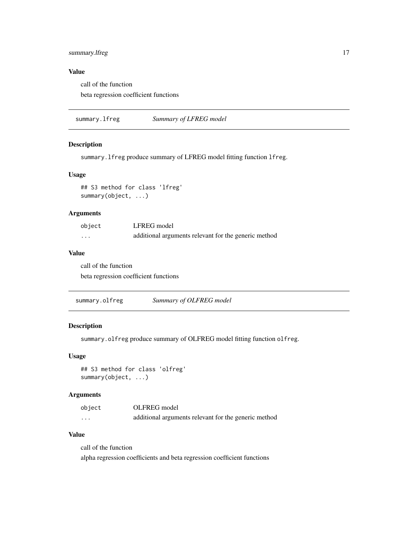#### <span id="page-16-0"></span>summary.lfreg 17

#### Value

call of the function beta regression coefficient functions

summary.lfreg *Summary of LFREG model*

#### Description

summary.lfreg produce summary of LFREG model fitting function lfreg.

#### Usage

## S3 method for class 'lfreg' summary(object, ...)

#### Arguments

| object            | LFREG model                                          |
|-------------------|------------------------------------------------------|
| $\cdot\cdot\cdot$ | additional arguments relevant for the generic method |

#### Value

call of the function beta regression coefficient functions

|  | summary.olfreg | Summary of OLFREG model |
|--|----------------|-------------------------|
|--|----------------|-------------------------|

#### Description

summary.olfreg produce summary of OLFREG model fitting function olfreg.

#### Usage

## S3 method for class 'olfreg' summary(object, ...)

#### Arguments

| object   | OLFREG model                                         |
|----------|------------------------------------------------------|
| $\cdots$ | additional arguments relevant for the generic method |

#### Value

call of the function alpha regression coefficients and beta regression coefficient functions